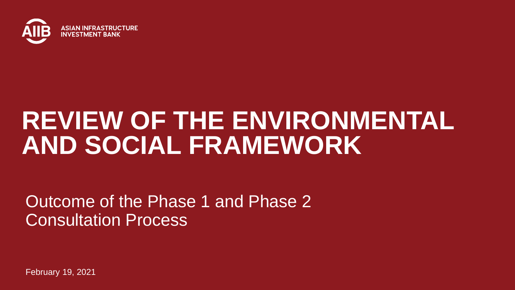

## **REVIEW OF THE ENVIRONMENTAL AND SOCIAL FRAMEWORK**

Outcome of the Phase 1 and Phase 2 Consultation Process

February 19, 2021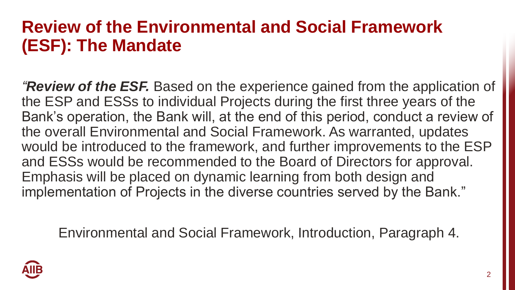#### **Review of the Environmental and Social Framework (ESF): The Mandate**

*"Review of the ESF.* Based on the experience gained from the application of the ESP and ESSs to individual Projects during the first three years of the Bank's operation, the Bank will, at the end of this period, conduct a review of the overall Environmental and Social Framework. As warranted, updates would be introduced to the framework, and further improvements to the ESP and ESSs would be recommended to the Board of Directors for approval. Emphasis will be placed on dynamic learning from both design and implementation of Projects in the diverse countries served by the Bank."

Environmental and Social Framework, Introduction, Paragraph 4.

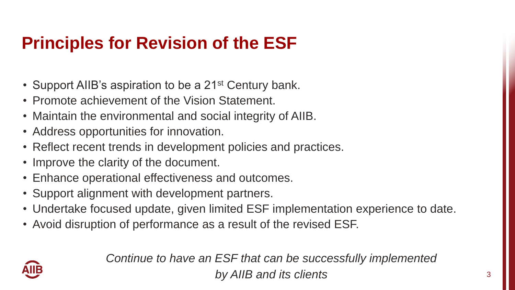### **Principles for Revision of the ESF**

- Support AIIB's aspiration to be a 21<sup>st</sup> Century bank.
- Promote achievement of the Vision Statement.
- Maintain the environmental and social integrity of AIIB.
- Address opportunities for innovation.
- Reflect recent trends in development policies and practices.
- Improve the clarity of the document.
- Enhance operational effectiveness and outcomes.
- Support alignment with development partners.
- Undertake focused update, given limited ESF implementation experience to date.
- Avoid disruption of performance as a result of the revised ESF.



*Continue to have an ESF that can be successfully implemented by AIIB and its clients*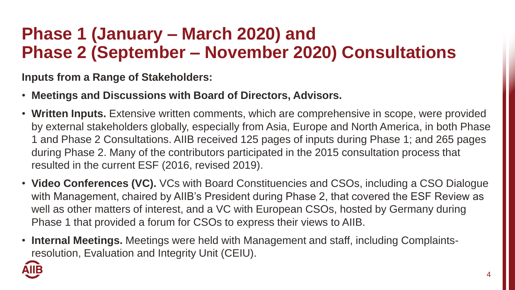#### **Phase 1 (January – March 2020) and Phase 2 (September – November 2020) Consultations**

**Inputs from a Range of Stakeholders:**

- **Meetings and Discussions with Board of Directors, Advisors.**
- **Written Inputs.** Extensive written comments, which are comprehensive in scope, were provided by external stakeholders globally, especially from Asia, Europe and North America, in both Phase 1 and Phase 2 Consultations. AIIB received 125 pages of inputs during Phase 1; and 265 pages during Phase 2. Many of the contributors participated in the 2015 consultation process that resulted in the current ESF (2016, revised 2019).
- **Video Conferences (VC).** VCs with Board Constituencies and CSOs, including a CSO Dialogue with Management, chaired by AIIB's President during Phase 2, that covered the ESF Review as well as other matters of interest, and a VC with European CSOs, hosted by Germany during Phase 1 that provided a forum for CSOs to express their views to AIIB.
- **Internal Meetings.** Meetings were held with Management and staff, including Complaintsresolution, Evaluation and Integrity Unit (CEIU).

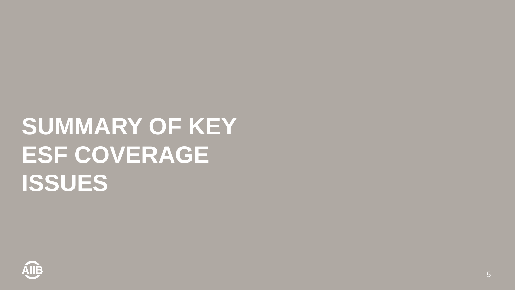# **SUMMARY OF KEY ESF COVERAGE ISSUES**

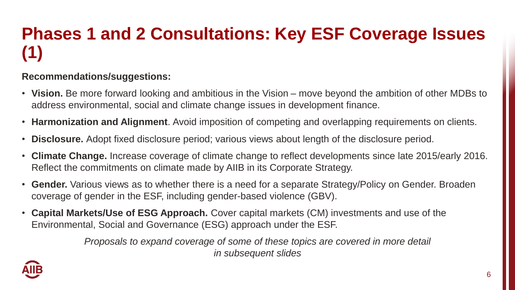### **Phases 1 and 2 Consultations: Key ESF Coverage Issues (1)**

#### **Recommendations/suggestions:**

- **Vision.** Be more forward looking and ambitious in the Vision move beyond the ambition of other MDBs to address environmental, social and climate change issues in development finance.
- **Harmonization and Alignment**. Avoid imposition of competing and overlapping requirements on clients.
- **Disclosure.** Adopt fixed disclosure period; various views about length of the disclosure period.
- **Climate Change.** Increase coverage of climate change to reflect developments since late 2015/early 2016. Reflect the commitments on climate made by AIIB in its Corporate Strategy.
- **Gender.** Various views as to whether there is a need for a separate Strategy/Policy on Gender. Broaden coverage of gender in the ESF, including gender-based violence (GBV).
- **Capital Markets/Use of ESG Approach.** Cover capital markets (CM) investments and use of the Environmental, Social and Governance (ESG) approach under the ESF.

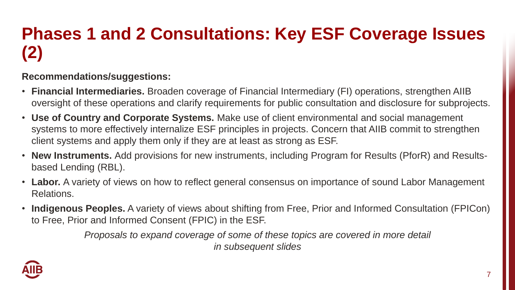### **Phases 1 and 2 Consultations: Key ESF Coverage Issues (2)**

#### **Recommendations/suggestions:**

- **Financial Intermediaries.** Broaden coverage of Financial Intermediary (FI) operations, strengthen AIIB oversight of these operations and clarify requirements for public consultation and disclosure for subprojects.
- **Use of Country and Corporate Systems.** Make use of client environmental and social management systems to more effectively internalize ESF principles in projects. Concern that AIIB commit to strengthen client systems and apply them only if they are at least as strong as ESF.
- **New Instruments.** Add provisions for new instruments, including Program for Results (PforR) and Resultsbased Lending (RBL).
- **Labor.** A variety of views on how to reflect general consensus on importance of sound Labor Management Relations.
- **Indigenous Peoples.** A variety of views about shifting from Free, Prior and Informed Consultation (FPICon) to Free, Prior and Informed Consent (FPIC) in the ESF.

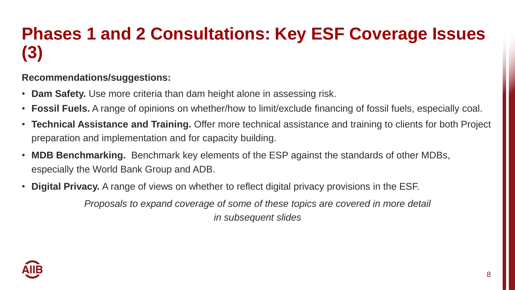### **Phases 1 and 2 Consultations: Key ESF Coverage Issues (3)**

#### **Recommendations/suggestions:**

- **Dam Safety.** Use more criteria than dam height alone in assessing risk.
- **Fossil Fuels.** A range of opinions on whether/how to limit/exclude financing of fossil fuels, especially coal.
- **Technical Assistance and Training.** Offer more technical assistance and training to clients for both Project preparation and implementation and for capacity building.
- **MDB Benchmarking.** Benchmark key elements of the ESP against the standards of other MDBs, especially the World Bank Group and ADB.
- **Digital Privacy.** A range of views on whether to reflect digital privacy provisions in the ESF.

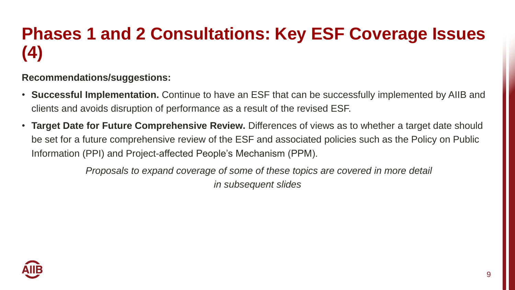### **Phases 1 and 2 Consultations: Key ESF Coverage Issues (4)**

#### **Recommendations/suggestions:**

- **Successful Implementation.** Continue to have an ESF that can be successfully implemented by AIIB and clients and avoids disruption of performance as a result of the revised ESF.
- **Target Date for Future Comprehensive Review.** Differences of views as to whether a target date should be set for a future comprehensive review of the ESF and associated policies such as the Policy on Public Information (PPI) and Project-affected People's Mechanism (PPM).

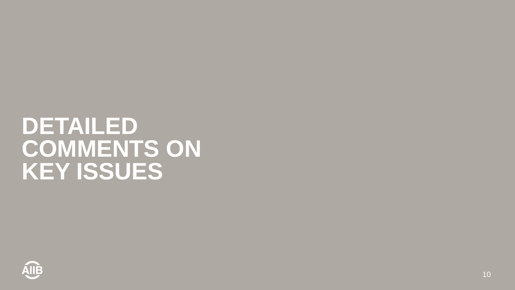## **DETAILED COMMENTS ON KEY ISSUES**

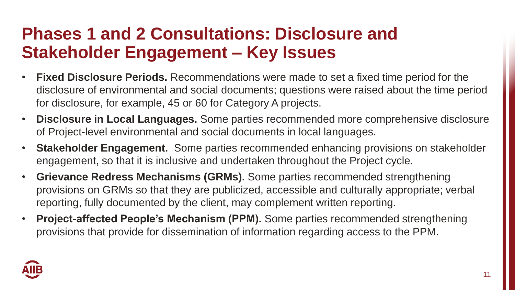#### **Phases 1 and 2 Consultations: Disclosure and Stakeholder Engagement – Key Issues**

- **Fixed Disclosure Periods.** Recommendations were made to set a fixed time period for the disclosure of environmental and social documents; questions were raised about the time period for disclosure, for example, 45 or 60 for Category A projects.
- **Disclosure in Local Languages.** Some parties recommended more comprehensive disclosure of Project-level environmental and social documents in local languages.
- **Stakeholder Engagement.** Some parties recommended enhancing provisions on stakeholder engagement, so that it is inclusive and undertaken throughout the Project cycle.
- **Grievance Redress Mechanisms (GRMs).** Some parties recommended strengthening provisions on GRMs so that they are publicized, accessible and culturally appropriate; verbal reporting, fully documented by the client, may complement written reporting.
- **Project-affected People's Mechanism (PPM).** Some parties recommended strengthening provisions that provide for dissemination of information regarding access to the PPM.

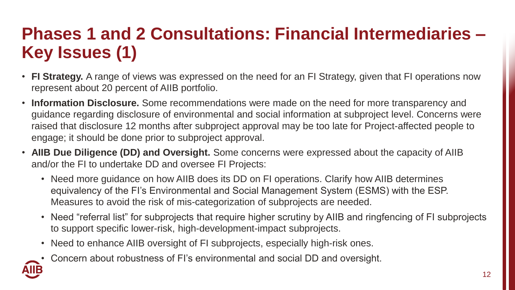### **Phases 1 and 2 Consultations: Financial Intermediaries – Key Issues (1)**

- **FI Strategy.** A range of views was expressed on the need for an FI Strategy, given that FI operations now represent about 20 percent of AIIB portfolio.
- **Information Disclosure.** Some recommendations were made on the need for more transparency and guidance regarding disclosure of environmental and social information at subproject level. Concerns were raised that disclosure 12 months after subproject approval may be too late for Project-affected people to engage; it should be done prior to subproject approval.
- **AIIB Due Diligence (DD) and Oversight.** Some concerns were expressed about the capacity of AIIB and/or the FI to undertake DD and oversee FI Projects:
	- Need more guidance on how AIIB does its DD on FI operations. Clarify how AIIB determines equivalency of the FI's Environmental and Social Management System (ESMS) with the ESP. Measures to avoid the risk of mis-categorization of subprojects are needed.
	- Need "referral list" for subprojects that require higher scrutiny by AIIB and ringfencing of FI subprojects to support specific lower-risk, high-development-impact subprojects.
	- Need to enhance AIIB oversight of FI subprojects, especially high-risk ones.
	- Concern about robustness of FI's environmental and social DD and oversight.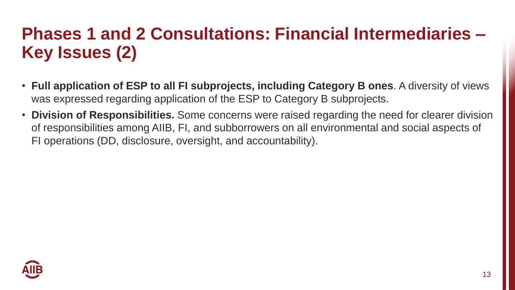#### **Phases 1 and 2 Consultations: Financial Intermediaries – Key Issues (2)**

- **Full application of ESP to all FI subprojects, including Category B ones**. A diversity of views was expressed regarding application of the ESP to Category B subprojects.
- **Division of Responsibilities.** Some concerns were raised regarding the need for clearer division of responsibilities among AIIB, FI, and subborrowers on all environmental and social aspects of FI operations (DD, disclosure, oversight, and accountability).

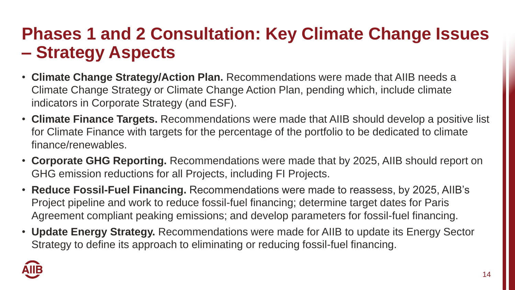#### **Phases 1 and 2 Consultation: Key Climate Change Issues – Strategy Aspects**

- **Climate Change Strategy/Action Plan.** Recommendations were made that AIIB needs a Climate Change Strategy or Climate Change Action Plan, pending which, include climate indicators in Corporate Strategy (and ESF).
- **Climate Finance Targets.** Recommendations were made that AIIB should develop a positive list for Climate Finance with targets for the percentage of the portfolio to be dedicated to climate finance/renewables.
- **Corporate GHG Reporting.** Recommendations were made that by 2025, AIIB should report on GHG emission reductions for all Projects, including FI Projects.
- **Reduce Fossil-Fuel Financing.** Recommendations were made to reassess, by 2025, AIIB's Project pipeline and work to reduce fossil-fuel financing; determine target dates for Paris Agreement compliant peaking emissions; and develop parameters for fossil-fuel financing.
- **Update Energy Strategy.** Recommendations were made for AIIB to update its Energy Sector Strategy to define its approach to eliminating or reducing fossil-fuel financing.

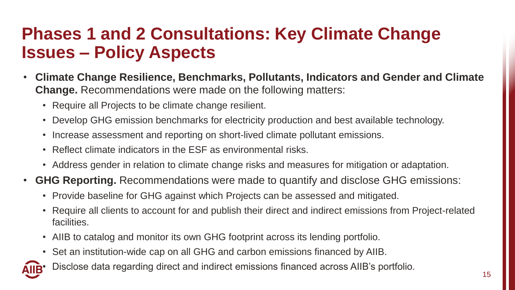#### **Phases 1 and 2 Consultations: Key Climate Change Issues – Policy Aspects**

- **Climate Change Resilience, Benchmarks, Pollutants, Indicators and Gender and Climate Change.** Recommendations were made on the following matters:
	- Require all Projects to be climate change resilient.
	- Develop GHG emission benchmarks for electricity production and best available technology.
	- Increase assessment and reporting on short-lived climate pollutant emissions.
	- Reflect climate indicators in the ESF as environmental risks.
	- Address gender in relation to climate change risks and measures for mitigation or adaptation.
- **GHG Reporting.** Recommendations were made to quantify and disclose GHG emissions:
	- Provide baseline for GHG against which Projects can be assessed and mitigated.
	- Require all clients to account for and publish their direct and indirect emissions from Project-related facilities.
	- AIIB to catalog and monitor its own GHG footprint across its lending portfolio.
	- Set an institution-wide cap on all GHG and carbon emissions financed by AIIB.
	- Disclose data regarding direct and indirect emissions financed across AIIB's portfolio.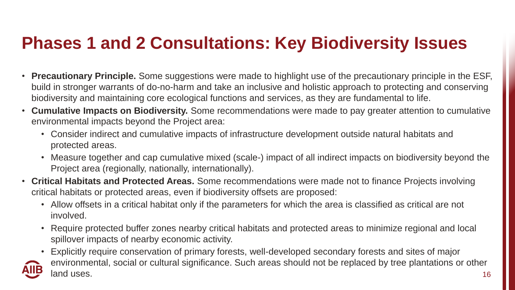#### **Phases 1 and 2 Consultations: Key Biodiversity Issues**

- **Precautionary Principle.** Some suggestions were made to highlight use of the precautionary principle in the ESF, build in stronger warrants of do-no-harm and take an inclusive and holistic approach to protecting and conserving biodiversity and maintaining core ecological functions and services, as they are fundamental to life.
- **Cumulative Impacts on Biodiversity.** Some recommendations were made to pay greater attention to cumulative environmental impacts beyond the Project area:
	- Consider indirect and cumulative impacts of infrastructure development outside natural habitats and protected areas.
	- Measure together and cap cumulative mixed (scale-) impact of all indirect impacts on biodiversity beyond the Project area (regionally, nationally, internationally).
- **Critical Habitats and Protected Areas.** Some recommendations were made not to finance Projects involving critical habitats or protected areas, even if biodiversity offsets are proposed:
	- Allow offsets in a critical habitat only if the parameters for which the area is classified as critical are not involved.
	- Require protected buffer zones nearby critical habitats and protected areas to minimize regional and local spillover impacts of nearby economic activity.
	- 16 • Explicitly require conservation of primary forests, well-developed secondary forests and sites of major environmental, social or cultural significance. Such areas should not be replaced by tree plantations or other land uses.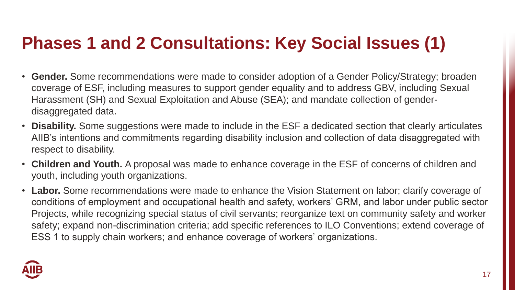#### **Phases 1 and 2 Consultations: Key Social Issues (1)**

- **Gender.** Some recommendations were made to consider adoption of a Gender Policy/Strategy; broaden coverage of ESF, including measures to support gender equality and to address GBV, including Sexual Harassment (SH) and Sexual Exploitation and Abuse (SEA); and mandate collection of genderdisaggregated data.
- **Disability.** Some suggestions were made to include in the ESF a dedicated section that clearly articulates AIIB's intentions and commitments regarding disability inclusion and collection of data disaggregated with respect to disability.
- **Children and Youth.** A proposal was made to enhance coverage in the ESF of concerns of children and youth, including youth organizations.
- **Labor.** Some recommendations were made to enhance the Vision Statement on labor; clarify coverage of conditions of employment and occupational health and safety, workers' GRM, and labor under public sector Projects, while recognizing special status of civil servants; reorganize text on community safety and worker safety; expand non-discrimination criteria; add specific references to ILO Conventions; extend coverage of ESS 1 to supply chain workers; and enhance coverage of workers' organizations.

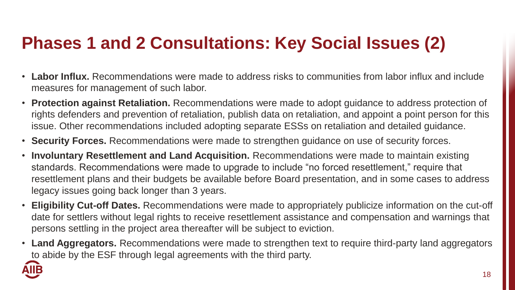### **Phases 1 and 2 Consultations: Key Social Issues (2)**

- **Labor Influx.** Recommendations were made to address risks to communities from labor influx and include measures for management of such labor.
- **Protection against Retaliation.** Recommendations were made to adopt guidance to address protection of rights defenders and prevention of retaliation, publish data on retaliation, and appoint a point person for this issue. Other recommendations included adopting separate ESSs on retaliation and detailed guidance.
- **Security Forces.** Recommendations were made to strengthen guidance on use of security forces.
- **Involuntary Resettlement and Land Acquisition.** Recommendations were made to maintain existing standards. Recommendations were made to upgrade to include "no forced resettlement," require that resettlement plans and their budgets be available before Board presentation, and in some cases to address legacy issues going back longer than 3 years.
- **Eligibility Cut-off Dates.** Recommendations were made to appropriately publicize information on the cut-off date for settlers without legal rights to receive resettlement assistance and compensation and warnings that persons settling in the project area thereafter will be subject to eviction.
- **Land Aggregators.** Recommendations were made to strengthen text to require third-party land aggregators to abide by the ESF through legal agreements with the third party.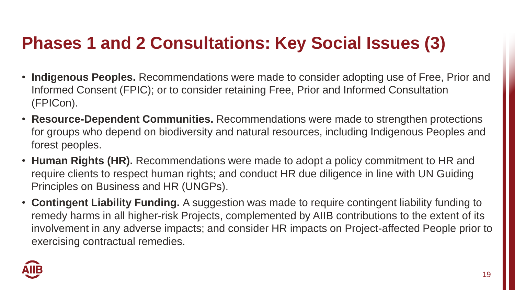#### **Phases 1 and 2 Consultations: Key Social Issues (3)**

- **Indigenous Peoples.** Recommendations were made to consider adopting use of Free, Prior and Informed Consent (FPIC); or to consider retaining Free, Prior and Informed Consultation (FPICon).
- **Resource-Dependent Communities.** Recommendations were made to strengthen protections for groups who depend on biodiversity and natural resources, including Indigenous Peoples and forest peoples.
- **Human Rights (HR).** Recommendations were made to adopt a policy commitment to HR and require clients to respect human rights; and conduct HR due diligence in line with UN Guiding Principles on Business and HR (UNGPs).
- **Contingent Liability Funding.** A suggestion was made to require contingent liability funding to remedy harms in all higher-risk Projects, complemented by AIIB contributions to the extent of its involvement in any adverse impacts; and consider HR impacts on Project-affected People prior to exercising contractual remedies.

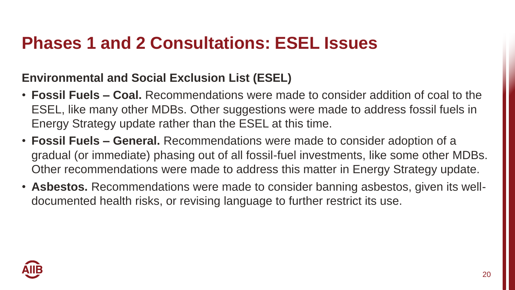#### **Phases 1 and 2 Consultations: ESEL Issues**

#### **Environmental and Social Exclusion List (ESEL)**

- **Fossil Fuels – Coal.** Recommendations were made to consider addition of coal to the ESEL, like many other MDBs. Other suggestions were made to address fossil fuels in Energy Strategy update rather than the ESEL at this time.
- **Fossil Fuels – General.** Recommendations were made to consider adoption of a gradual (or immediate) phasing out of all fossil-fuel investments, like some other MDBs. Other recommendations were made to address this matter in Energy Strategy update.
- **Asbestos.** Recommendations were made to consider banning asbestos, given its welldocumented health risks, or revising language to further restrict its use.

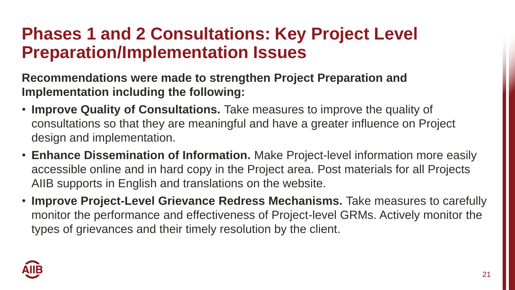#### **Phases 1 and 2 Consultations: Key Project Level Preparation/Implementation Issues**

**Recommendations were made to strengthen Project Preparation and Implementation including the following:**

- **Improve Quality of Consultations.** Take measures to improve the quality of consultations so that they are meaningful and have a greater influence on Project design and implementation.
- **Enhance Dissemination of Information.** Make Project-level information more easily accessible online and in hard copy in the Project area. Post materials for all Projects AIIB supports in English and translations on the website.
- **Improve Project-Level Grievance Redress Mechanisms.** Take measures to carefully monitor the performance and effectiveness of Project-level GRMs. Actively monitor the types of grievances and their timely resolution by the client.

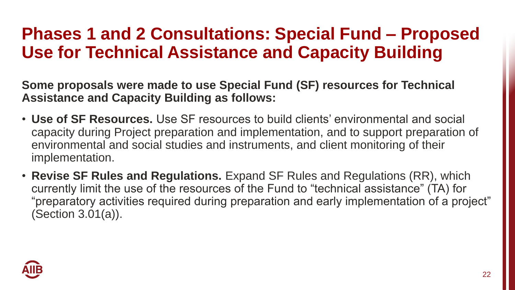#### **Phases 1 and 2 Consultations: Special Fund – Proposed Use for Technical Assistance and Capacity Building**

**Some proposals were made to use Special Fund (SF) resources for Technical Assistance and Capacity Building as follows:**

- **Use of SF Resources.** Use SF resources to build clients' environmental and social capacity during Project preparation and implementation, and to support preparation of environmental and social studies and instruments, and client monitoring of their implementation.
- **Revise SF Rules and Regulations.** Expand SF Rules and Regulations (RR), which currently limit the use of the resources of the Fund to "technical assistance" (TA) for "preparatory activities required during preparation and early implementation of a project" (Section 3.01(a)).

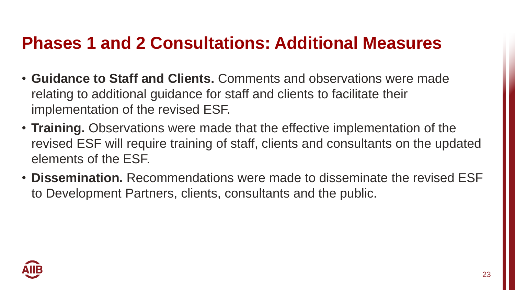#### **Phases 1 and 2 Consultations: Additional Measures**

- **Guidance to Staff and Clients.** Comments and observations were made relating to additional guidance for staff and clients to facilitate their implementation of the revised ESF.
- **Training.** Observations were made that the effective implementation of the revised ESF will require training of staff, clients and consultants on the updated elements of the ESF.
- **Dissemination.** Recommendations were made to disseminate the revised ESF to Development Partners, clients, consultants and the public.